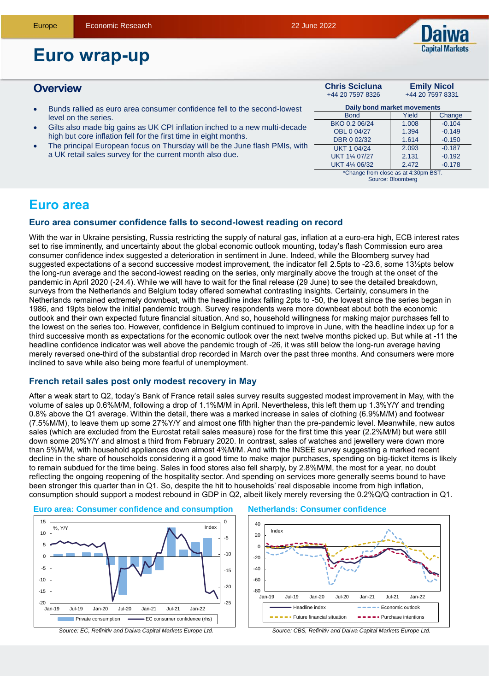

**Emily Nicol** +44 20 7597 8331

# **Euro wrap-up**

## **Overview Chris Scicluna**

- Bunds rallied as euro area consumer confidence fell to the second-lowest level on the series.
- Gilts also made big gains as UK CPI inflation inched to a new multi-decade high but core inflation fell for the first time in eight months.
- The principal European focus on Thursday will be the June flash PMIs, with a UK retail sales survey for the current month also due.

| Daily bond market movements          |       |          |  |  |  |  |
|--------------------------------------|-------|----------|--|--|--|--|
| <b>Bond</b>                          | Yield | Change   |  |  |  |  |
| BKO 0.2 06/24                        | 1.008 | $-0.104$ |  |  |  |  |
| OBL 0 04/27                          | 1.394 | $-0.149$ |  |  |  |  |
| DBR 0 02/32                          | 1.614 | $-0.150$ |  |  |  |  |
| <b>UKT 1 04/24</b>                   | 2.093 | $-0.187$ |  |  |  |  |
| UKT 11/4 07/27                       | 2.131 | $-0.192$ |  |  |  |  |
| UKT 41/4 06/32                       | 2.472 | $-0.178$ |  |  |  |  |
| *Change from close as at 4:30pm BST. |       |          |  |  |  |  |

+44 20 7597 8326

Source: Bloomberg

# **Euro area**

## **Euro area consumer confidence falls to second-lowest reading on record**

With the war in Ukraine persisting, Russia restricting the supply of natural gas, inflation at a euro-era high, ECB interest rates set to rise imminently, and uncertainty about the global economic outlook mounting, today's flash Commission euro area consumer confidence index suggested a deterioration in sentiment in June. Indeed, while the Bloomberg survey had suggested expectations of a second successive modest improvement, the indicator fell 2.5pts to -23.6, some 13½pts below the long-run average and the second-lowest reading on the series, only marginally above the trough at the onset of the pandemic in April 2020 (-24.4). While we will have to wait for the final release (29 June) to see the detailed breakdown, surveys from the Netherlands and Belgium today offered somewhat contrasting insights. Certainly, consumers in the Netherlands remained extremely downbeat, with the headline index falling 2pts to -50, the lowest since the series began in 1986, and 19pts below the initial pandemic trough. Survey respondents were more downbeat about both the economic outlook and their own expected future financial situation. And so, household willingness for making major purchases fell to the lowest on the series too. However, confidence in Belgium continued to improve in June, with the headline index up for a third successive month as expectations for the economic outlook over the next twelve months picked up. But while at -11 the headline confidence indicator was well above the pandemic trough of -26, it was still below the long-run average having merely reversed one-third of the substantial drop recorded in March over the past three months. And consumers were more inclined to save while also being more fearful of unemployment.

## **French retail sales post only modest recovery in May**

After a weak start to Q2, today's Bank of France retail sales survey results suggested modest improvement in May, with the volume of sales up 0.6%M/M, following a drop of 1.1%M/M in April. Nevertheless, this left them up 1.3%Y/Y and trending 0.8% above the Q1 average. Within the detail, there was a marked increase in sales of clothing (6.9%M/M) and footwear (7.5%M/M), to leave them up some 27%Y/Y and almost one fifth higher than the pre-pandemic level. Meanwhile, new autos sales (which are excluded from the Eurostat retail sales measure) rose for the first time this year (2.2%M/M) but were still down some 20%Y/Y and almost a third from February 2020. In contrast, sales of watches and jewellery were down more than 5%M/M, with household appliances down almost 4%M/M. And with the INSEE survey suggesting a marked recent decline in the share of households considering it a good time to make major purchases, spending on big-ticket items is likely to remain subdued for the time being. Sales in food stores also fell sharply, by 2.8%M/M, the most for a year, no doubt reflecting the ongoing reopening of the hospitality sector. And spending on services more generally seems bound to have been stronger this quarter than in Q1. So, despite the hit to households' real disposable income from high inflation, consumption should support a modest rebound in GDP in Q2, albeit likely merely reversing the 0.2%Q/Q contraction in Q1.



#### **Euro area: Consumer confidence and consumption Netherlands: Consumer confidence**



*Source: CBS, Refinitiv and Daiwa Capital Markets Europe Ltd.*  $-$  Future financial situation  $-$  Purchase intentions

Headline index **Example 20** Free Economic outlook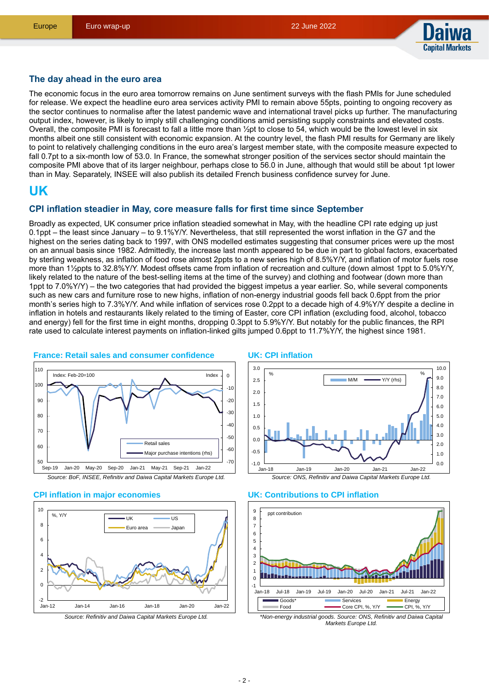

## **The day ahead in the euro area**

The economic focus in the euro area tomorrow remains on June sentiment surveys with the flash PMIs for June scheduled for release. We expect the headline euro area services activity PMI to remain above 55pts, pointing to ongoing recovery as the sector continues to normalise after the latest pandemic wave and international travel picks up further. The manufacturing output index, however, is likely to imply still challenging conditions amid persisting supply constraints and elevated costs. Overall, the composite PMI is forecast to fall a little more than  $\frac{1}{2}$ pt to close to 54, which would be the lowest level in six months albeit one still consistent with economic expansion. At the country level, the flash PMI results for Germany are likely to point to relatively challenging conditions in the euro area's largest member state, with the composite measure expected to fall 0.7pt to a six-month low of 53.0. In France, the somewhat stronger position of the services sector should maintain the composite PMI above that of its larger neighbour, perhaps close to 56.0 in June, although that would still be about 1pt lower than in May. Separately, INSEE will also publish its detailed French business confidence survey for June.

# **UK**

#### **CPI inflation steadier in May, core measure falls for first time since September**

Broadly as expected, UK consumer price inflation steadied somewhat in May, with the headline CPI rate edging up just 0.1ppt – the least since January – to 9.1%Y/Y. Nevertheless, that still represented the worst inflation in the G7 and the highest on the series dating back to 1997, with ONS modelled estimates suggesting that consumer prices were up the most on an annual basis since 1982. Admittedly, the increase last month appeared to be due in part to global factors, exacerbated by sterling weakness, as inflation of food rose almost 2ppts to a new series high of 8.5%Y/Y, and inflation of motor fuels rose more than 1½ppts to 32.8%Y/Y. Modest offsets came from inflation of recreation and culture (down almost 1ppt to 5.0%Y/Y, likely related to the nature of the best-selling items at the time of the survey) and clothing and footwear (down more than 1ppt to 7.0%Y/Y) – the two categories that had provided the biggest impetus a year earlier. So, while several components such as new cars and furniture rose to new highs, inflation of non-energy industrial goods fell back 0.6ppt from the prior month's series high to 7.3%Y/Y. And while inflation of services rose 0.2ppt to a decade high of 4.9%Y/Y despite a decline in inflation in hotels and restaurants likely related to the timing of Easter, core CPI inflation (excluding food, alcohol, tobacco and energy) fell for the first time in eight months, dropping 0.3ppt to 5.9%Y/Y. But notably for the public finances, the RPI rate used to calculate interest payments on inflation-linked gilts jumped 0.6ppt to 11.7%Y/Y, the highest since 1981.



## **France: Retail sales and consumer confidence**

*Source: BoF, INSEE, Refinitiv and Daiwa Capital Markets Europe Ltd.*

#### **CPI inflation in major economies**



#### **UK: CPI inflation**



#### **UK: Contributions to CPI inflation**



*\*Non-energy industrial goods. Source: ONS, Refinitiv and Daiwa Capital Markets Europe Ltd.*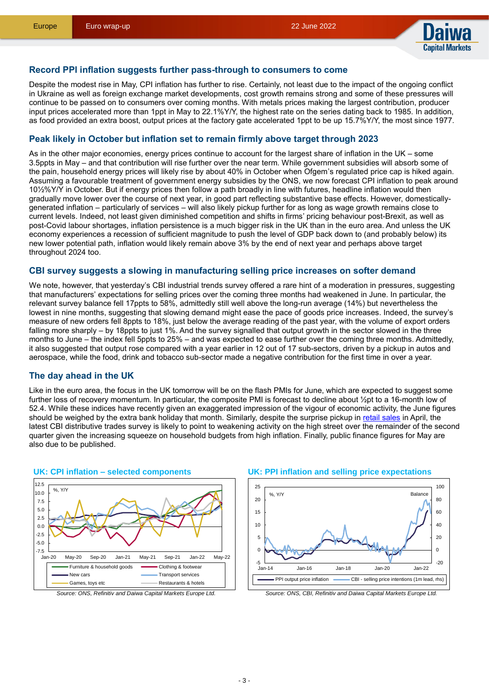

#### **Record PPI inflation suggests further pass-through to consumers to come**

Despite the modest rise in May, CPI inflation has further to rise. Certainly, not least due to the impact of the ongoing conflict in Ukraine as well as foreign exchange market developments, cost growth remains strong and some of these pressures will continue to be passed on to consumers over coming months. With metals prices making the largest contribution, producer input prices accelerated more than 1ppt in May to 22.1%Y/Y, the highest rate on the series dating back to 1985. In addition, as food provided an extra boost, output prices at the factory gate accelerated 1ppt to be up 15.7%Y/Y, the most since 1977.

### **Peak likely in October but inflation set to remain firmly above target through 2023**

As in the other major economies, energy prices continue to account for the largest share of inflation in the UK – some 3.5ppts in May – and that contribution will rise further over the near term. While government subsidies will absorb some of the pain, household energy prices will likely rise by about 40% in October when Ofgem's regulated price cap is hiked again. Assuming a favourable treatment of government energy subsidies by the ONS, we now forecast CPI inflation to peak around 10½%Y/Y in October. But if energy prices then follow a path broadly in line with futures, headline inflation would then gradually move lower over the course of next year, in good part reflecting substantive base effects. However, domesticallygenerated inflation – particularly of services – will also likely pickup further for as long as wage growth remains close to current levels. Indeed, not least given diminished competition and shifts in firms' pricing behaviour post-Brexit, as well as post-Covid labour shortages, inflation persistence is a much bigger risk in the UK than in the euro area. And unless the UK economy experiences a recession of sufficient magnitude to push the level of GDP back down to (and probably below) its new lower potential path, inflation would likely remain above 3% by the end of next year and perhaps above target throughout 2024 too.

#### **CBI survey suggests a slowing in manufacturing selling price increases on softer demand**

We note, however, that vesterday's CBI industrial trends survey offered a rare hint of a moderation in pressures, suggesting that manufacturers' expectations for selling prices over the coming three months had weakened in June. In particular, the relevant survey balance fell 17ppts to 58%, admittedly still well above the long-run average (14%) but nevertheless the lowest in nine months, suggesting that slowing demand might ease the pace of goods price increases. Indeed, the survey's measure of new orders fell 8ppts to 18%, just below the average reading of the past year, with the volume of export orders falling more sharply – by 18ppts to just 1%. And the survey signalled that output growth in the sector slowed in the three months to June – the index fell 5ppts to 25% – and was expected to ease further over the coming three months. Admittedly, it also suggested that output rose compared with a year earlier in 12 out of 17 sub-sectors, driven by a pickup in autos and aerospace, while the food, drink and tobacco sub-sector made a negative contribution for the first time in over a year.

## **The day ahead in the UK**

Like in the euro area, the focus in the UK tomorrow will be on the flash PMIs for June, which are expected to suggest some further loss of recovery momentum. In particular, the composite PMI is forecast to decline about ½pt to a 16-month low of 52.4. While these indices have recently given an exaggerated impression of the vigour of economic activity, the June figures should be weighed by the extra bank holiday that month. Similarly, despite the surprise pickup in [retail sales](https://bit.ly/3yNFbzM) in April, the latest CBI distributive trades survey is likely to point to weakening activity on the high street over the remainder of the second quarter given the increasing squeeze on household budgets from high inflation. Finally, public finance figures for May are also due to be published.



#### **UK: CPI inflation – selected components**

#### **UK: PPI inflation and selling price expectations**



*Source: ONS, CBI, Refinitiv and Daiwa Capital Markets Europe Ltd.*

*Source: ONS, Refinitiv and Daiwa Capital Markets Europe Ltd.*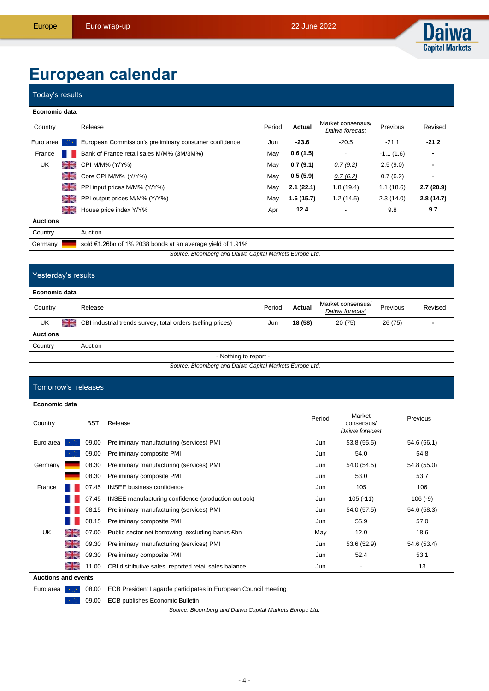

# **European calendar**

| Today's results                                         |             |                                                            |        |               |                                     |             |           |
|---------------------------------------------------------|-------------|------------------------------------------------------------|--------|---------------|-------------------------------------|-------------|-----------|
| Economic data                                           |             |                                                            |        |               |                                     |             |           |
| Country                                                 |             | Release                                                    | Period | <b>Actual</b> | Market consensus/<br>Daiwa forecast | Previous    | Revised   |
| Euro area                                               |             | European Commission's preliminary consumer confidence      | Jun    | $-23.6$       | $-20.5$                             | $-21.1$     | $-21.2$   |
| France                                                  |             | Bank of France retail sales M/M% (3M/3M%)                  | May    | 0.6(1.5)      |                                     | $-1.1(1.6)$ | ۰         |
| UK                                                      | <b>CALC</b> | CPI M/M% (Y/Y%)                                            | May    | 0.7(9.1)      | 0.7(9.2)                            | 2.5(9.0)    |           |
|                                                         | ≌≍          | Core CPI M/M% (Y/Y%)                                       | May    | 0.5(5.9)      | 0.7(6.2)                            | 0.7(6.2)    | ٠         |
|                                                         | ≃≍          | PPI input prices M/M% (Y/Y%)                               | May    | 2.1(22.1)     | 1.8(19.4)                           | 1.1(18.6)   | 2.7(20.9) |
|                                                         | ≌≍          | PPI output prices M/M% (Y/Y%)                              | May    | 1.6(15.7)     | 1.2(14.5)                           | 2.3(14.0)   | 2.8(14.7) |
|                                                         | ∺≋          | House price index Y/Y%                                     | Apr    | 12.4          | ٠                                   | 9.8         | 9.7       |
| <b>Auctions</b>                                         |             |                                                            |        |               |                                     |             |           |
| Country                                                 |             | Auction                                                    |        |               |                                     |             |           |
| Germany                                                 |             | sold €1.26bn of 1% 2038 bonds at an average yield of 1.91% |        |               |                                     |             |           |
| Source: Bloomberg and Daiwa Capital Markets Europe Ltd. |             |                                                            |        |               |                                     |             |           |

| Yesterday's results   |    |                                                             |        |         |                                     |          |         |
|-----------------------|----|-------------------------------------------------------------|--------|---------|-------------------------------------|----------|---------|
| Economic data         |    |                                                             |        |         |                                     |          |         |
| Country               |    | Release                                                     | Period | Actual  | Market consensus/<br>Daiwa forecast | Previous | Revised |
| UK                    | ≳≍ | CBI industrial trends survey, total orders (selling prices) | Jun    | 18 (58) | 20(75)                              | 26 (75)  | -       |
| <b>Auctions</b>       |    |                                                             |        |         |                                     |          |         |
| Country               |    | Auction                                                     |        |         |                                     |          |         |
| - Nothing to report - |    |                                                             |        |         |                                     |          |         |

*Source: Bloomberg and Daiwa Capital Markets Europe Ltd.*

#### Tomorrow's releases **Economic data** Period Market Previous Country BST Release consensus/ *Daiwa forecast* Euro area 09.00 Preliminary manufacturing (services) PMI Jun 53.8 (55.5) 54.6 (56.1) 09.00 Preliminary composite PMI **CONFINGUIST CONTINUES And Accord Following** Jun 54.8 54.8 Germany **18.30 Preliminary manufacturing (services) PMI** Jun 54.0 (54.5) 54.8 (55.0) 08.30 Preliminary composite PMI Jun 53.0 53.7 France 10 07.45 INSEE business confidence and the state of the state of the during the state of the 106 106 07.45 INSEE manufacturing confidence (production outlook) Jun 105 (-11) 106 (-9) 08.15 Preliminary manufacturing (services) PMI Jun 54.0 (57.5) 54.6 (58.3) 08.15 Preliminary composite PMI **CONSEX 1998** CONSERVING USB Jun 55.9 57.0 UK 07.00 Public sector net borrowing, excluding banks £bn May 12.0 18.6 09.30 Preliminary manufacturing (services) PMI Jun 53.6 (52.9) 54.6 (53.4) ≧≍ 을 09.30 Preliminary composite PMI **CONSIDENT CONSIDENT CONSIDENT CONSIDENT** Jun 52.4 53.1 ≽≼ 11.00 CBI distributive sales, reported retail sales balance Jun Jun - 13 **Auctions and events** Euro area **08.00 ECB President Lagarde participates in European Council meeting** 09.00 ECB publishes Economic Bulletin

*Source: Bloomberg and Daiwa Capital Markets Europe Ltd.*